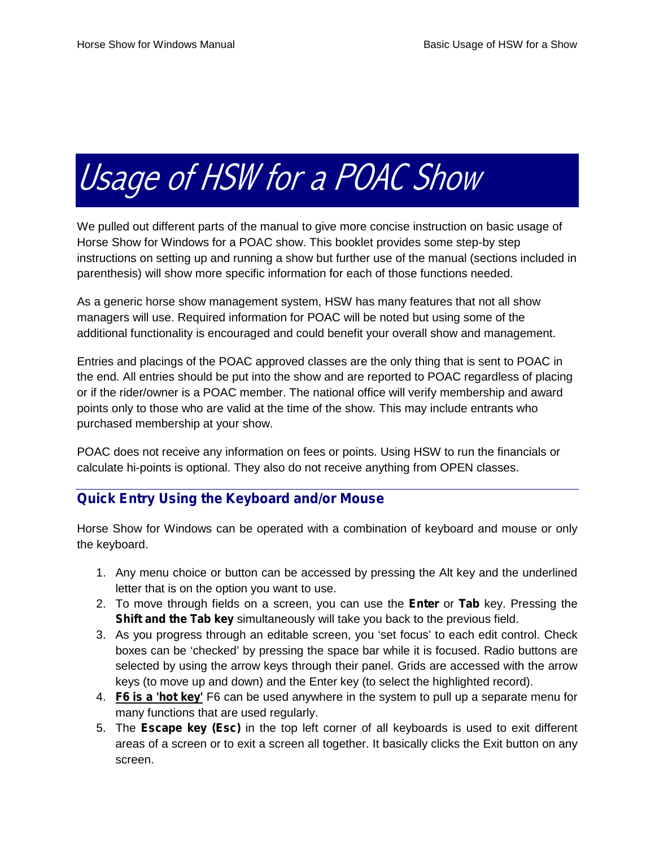# *Usage of HSW for a POAC Show*

We pulled out different parts of the manual to give more concise instruction on basic usage of Horse Show for Windows for a POAC show. This booklet provides some step-by step instructions on setting up and running a show but further use of the manual (sections included in parenthesis) will show more specific information for each of those functions needed.

As a generic horse show management system, HSW has many features that not all show managers will use. Required information for POAC will be noted but using some of the additional functionality is encouraged and could benefit your overall show and management.

Entries and placings of the POAC approved classes are the only thing that is sent to POAC in the end. All entries should be put into the show and are reported to POAC regardless of placing or if the rider/owner is a POAC member. The national office will verify membership and award points only to those who are valid at the time of the show. This may include entrants who purchased membership at your show.

POAC does not receive any information on fees or points. Using HSW to run the financials or calculate hi-points is optional. They also do not receive anything from OPEN classes.

# **Quick Entry Using the Keyboard and/or Mouse**

Horse Show for Windows can be operated with a combination of keyboard and mouse or only the keyboard.

- 1. Any menu choice or button can be accessed by pressing the Alt key and the underlined letter that is on the option you want to use.
- 2. To move through fields on a screen, you can use the **Enter** or **Tab** key. Pressing the **Shift and the Tab key** simultaneously will take you back to the previous field.
- 3. As you progress through an editable screen, you 'set focus' to each edit control. Check boxes can be 'checked' by pressing the space bar while it is focused. Radio buttons are selected by using the arrow keys through their panel. Grids are accessed with the arrow keys (to move up and down) and the Enter key (to select the highlighted record).
- 4. **F6 is a 'hot key'** F6 can be used anywhere in the system to pull up a separate menu for many functions that are used regularly.
- 5. The **Escape key (Esc)** in the top left corner of all keyboards is used to exit different areas of a screen or to exit a screen all together. It basically clicks the Exit button on any screen.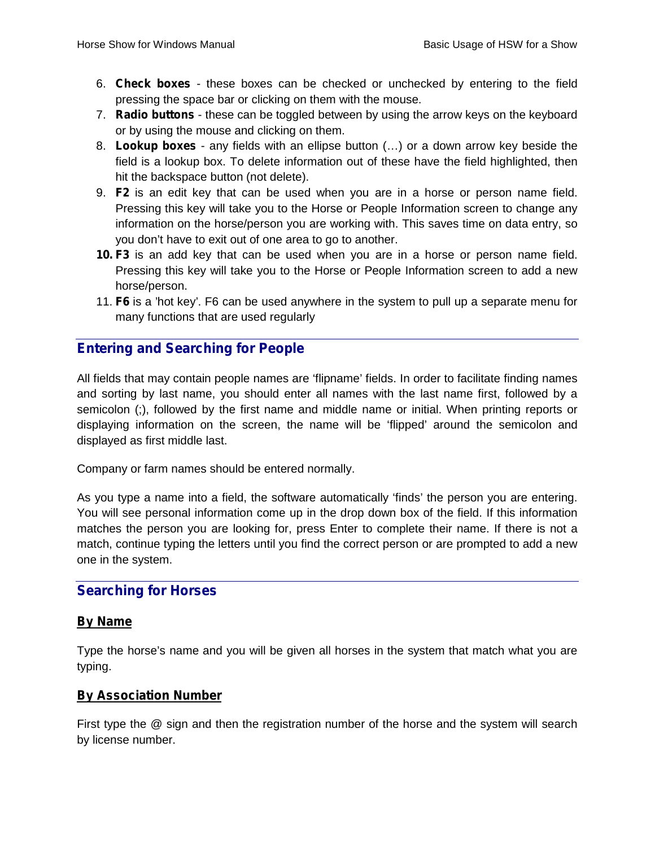- 6. **Check boxes** these boxes can be checked or unchecked by entering to the field pressing the space bar or clicking on them with the mouse.
- 7. **Radio buttons** these can be toggled between by using the arrow keys on the keyboard or by using the mouse and clicking on them.
- 8. **Lookup boxes** any fields with an ellipse button (…) or a down arrow key beside the field is a lookup box. To delete information out of these have the field highlighted, then hit the backspace button (not delete).
- 9. **F2** is an edit key that can be used when you are in a horse or person name field. Pressing this key will take you to the Horse or People Information screen to change any information on the horse/person you are working with. This saves time on data entry, so you don't have to exit out of one area to go to another.
- **10. F3** is an add key that can be used when you are in a horse or person name field. Pressing this key will take you to the Horse or People Information screen to add a new horse/person.
- 11. **F6** is a 'hot key'. F6 can be used anywhere in the system to pull up a separate menu for many functions that are used regularly

# **Entering and Searching for People**

All fields that may contain people names are 'flipname' fields. In order to facilitate finding names and sorting by last name, you should enter all names with the last name first, followed by a semicolon (;), followed by the first name and middle name or initial. When printing reports or displaying information on the screen, the name will be 'flipped' around the semicolon and displayed as first middle last.

Company or farm names should be entered normally.

As you type a name into a field, the software automatically 'finds' the person you are entering. You will see personal information come up in the drop down box of the field. If this information matches the person you are looking for, press Enter to complete their name. If there is not a match, continue typing the letters until you find the correct person or are prompted to add a new one in the system.

# **Searching for Horses**

## *By Name*

Type the horse's name and you will be given all horses in the system that match what you are typing.

## *By Association Number*

First type the @ sign and then the registration number of the horse and the system will search by license number.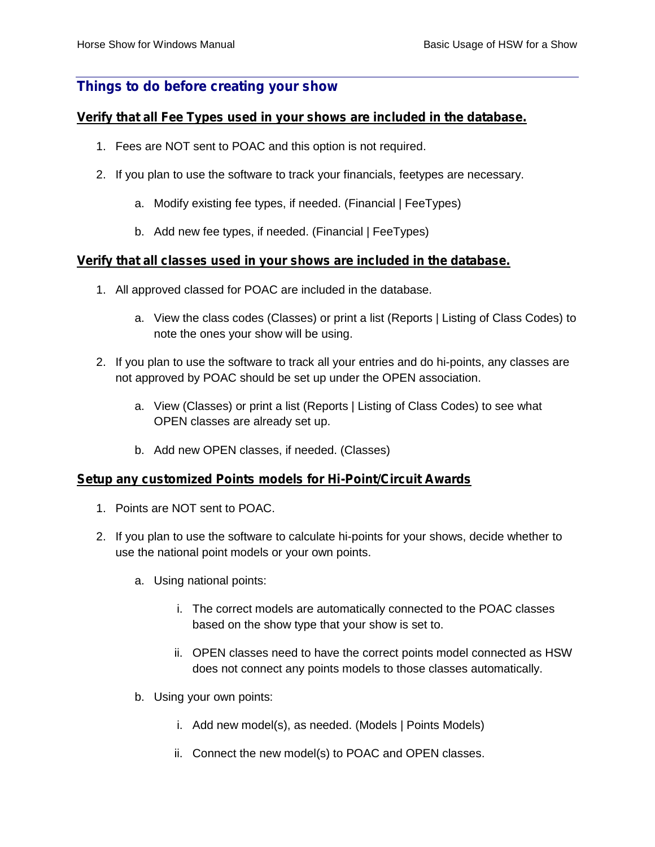# **Things to do before creating your show**

#### *Verify that all Fee Types used in your shows are included in the database.*

- 1. Fees are NOT sent to POAC and this option is not required.
- 2. If you plan to use the software to track your financials, feetypes are necessary.
	- a. Modify existing fee types, if needed. (Financial | FeeTypes)
	- b. Add new fee types, if needed. (Financial | FeeTypes)

#### *Verify that all classes used in your shows are included in the database.*

- 1. All approved classed for POAC are included in the database.
	- a. View the class codes (Classes) or print a list (Reports | Listing of Class Codes) to note the ones your show will be using.
- 2. If you plan to use the software to track all your entries and do hi-points, any classes are not approved by POAC should be set up under the OPEN association.
	- a. View (Classes) or print a list (Reports | Listing of Class Codes) to see what OPEN classes are already set up.
	- b. Add new OPEN classes, if needed. (Classes)

#### *Setup any customized Points models for Hi-Point/Circuit Awards*

- 1. Points are NOT sent to POAC.
- 2. If you plan to use the software to calculate hi-points for your shows, decide whether to use the national point models or your own points.
	- a. Using national points:
		- i. The correct models are automatically connected to the POAC classes based on the show type that your show is set to.
		- ii. OPEN classes need to have the correct points model connected as HSW does not connect any points models to those classes automatically.
	- b. Using your own points:
		- i. Add new model(s), as needed. (Models | Points Models)
		- ii. Connect the new model(s) to POAC and OPEN classes.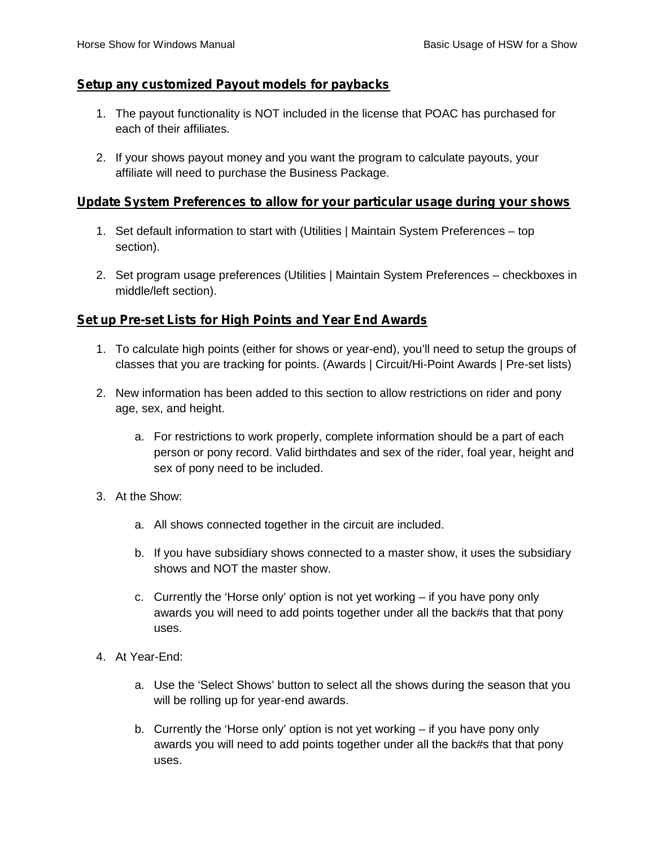#### *Setup any customized Payout models for paybacks*

- 1. The payout functionality is NOT included in the license that POAC has purchased for each of their affiliates.
- 2. If your shows payout money and you want the program to calculate payouts, your affiliate will need to purchase the Business Package.

#### *Update System Preferences to allow for your particular usage during your shows*

- 1. Set default information to start with (Utilities | Maintain System Preferences top section).
- 2. Set program usage preferences (Utilities | Maintain System Preferences checkboxes in middle/left section).

## *Set up Pre-set Lists for High Points and Year End Awards*

- 1. To calculate high points (either for shows or year-end), you'll need to setup the groups of classes that you are tracking for points. (Awards | Circuit/Hi-Point Awards | Pre-set lists)
- 2. New information has been added to this section to allow restrictions on rider and pony age, sex, and height.
	- a. For restrictions to work properly, complete information should be a part of each person or pony record. Valid birthdates and sex of the rider, foal year, height and sex of pony need to be included.
- 3. At the Show:
	- a. All shows connected together in the circuit are included.
	- b. If you have subsidiary shows connected to a master show, it uses the subsidiary shows and NOT the master show.
	- c. Currently the 'Horse only' option is not yet working if you have pony only awards you will need to add points together under all the back#s that that pony uses.
- 4. At Year-End:
	- a. Use the 'Select Shows' button to select all the shows during the season that you will be rolling up for year-end awards.
	- b. Currently the 'Horse only' option is not yet working if you have pony only awards you will need to add points together under all the back#s that that pony uses.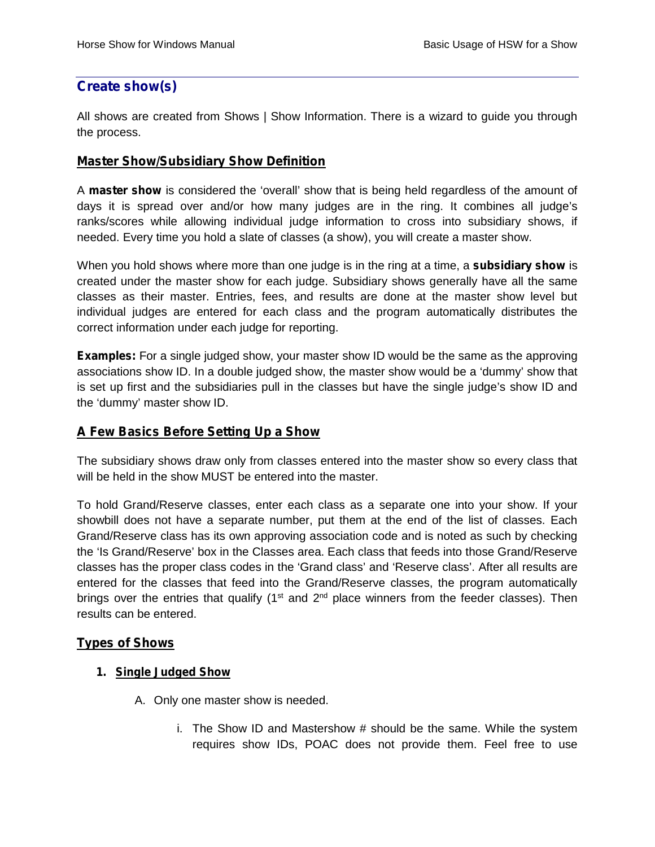# **Create show(s)**

All shows are created from Shows | Show Information. There is a wizard to guide you through the process.

#### *Master Show/Subsidiary Show Definition*

A **master show** is considered the 'overall' show that is being held regardless of the amount of days it is spread over and/or how many judges are in the ring. It combines all judge's ranks/scores while allowing individual judge information to cross into subsidiary shows, if needed. Every time you hold a slate of classes (a show), you will create a master show.

When you hold shows where more than one judge is in the ring at a time, a **subsidiary show** is created under the master show for each judge. Subsidiary shows generally have all the same classes as their master. Entries, fees, and results are done at the master show level but individual judges are entered for each class and the program automatically distributes the correct information under each judge for reporting.

**Examples:** For a single judged show, your master show ID would be the same as the approving associations show ID. In a double judged show, the master show would be a 'dummy' show that is set up first and the subsidiaries pull in the classes but have the single judge's show ID and the 'dummy' master show ID.

## *A Few Basics Before Setting Up a Show*

The subsidiary shows draw only from classes entered into the master show so every class that will be held in the show MUST be entered into the master.

To hold Grand/Reserve classes, enter each class as a separate one into your show. If your showbill does not have a separate number, put them at the end of the list of classes. Each Grand/Reserve class has its own approving association code and is noted as such by checking the 'Is Grand/Reserve' box in the Classes area. Each class that feeds into those Grand/Reserve classes has the proper class codes in the 'Grand class' and 'Reserve class'. After all results are entered for the classes that feed into the Grand/Reserve classes, the program automatically brings over the entries that qualify ( $1<sup>st</sup>$  and  $2<sup>nd</sup>$  place winners from the feeder classes). Then results can be entered.

## *Types of Shows*

#### *1. Single Judged Show*

- A. Only one master show is needed.
	- i. The Show ID and Mastershow # should be the same. While the system requires show IDs, POAC does not provide them. Feel free to use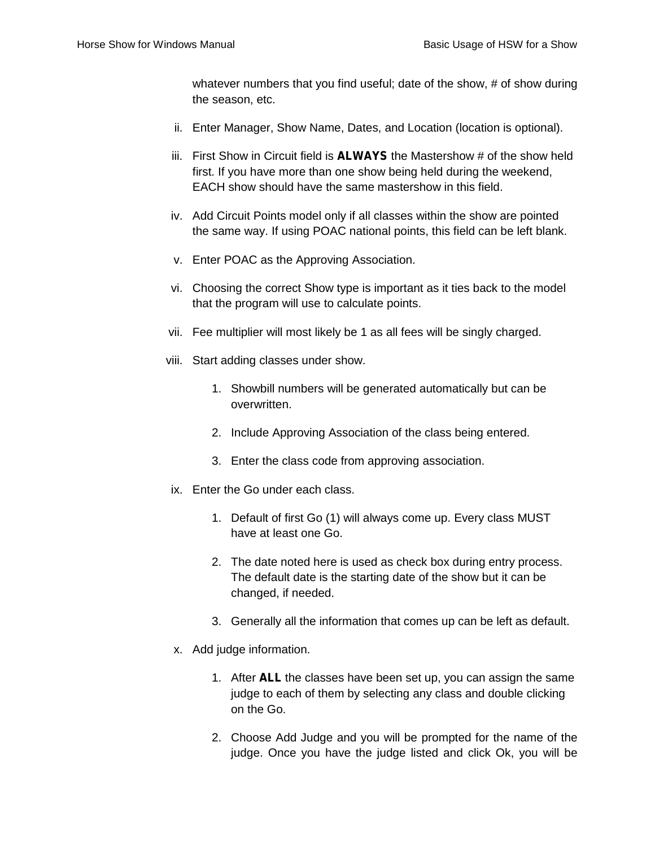whatever numbers that you find useful; date of the show, # of show during the season, etc.

- ii. Enter Manager, Show Name, Dates, and Location (location is optional).
- iii. First Show in Circuit field is **ALWAYS** the Mastershow # of the show held first. If you have more than one show being held during the weekend, EACH show should have the same mastershow in this field.
- iv. Add Circuit Points model only if all classes within the show are pointed the same way. If using POAC national points, this field can be left blank.
- v. Enter POAC as the Approving Association.
- vi. Choosing the correct Show type is important as it ties back to the model that the program will use to calculate points.
- vii. Fee multiplier will most likely be 1 as all fees will be singly charged.
- viii. Start adding classes under show.
	- 1. Showbill numbers will be generated automatically but can be overwritten.
	- 2. Include Approving Association of the class being entered.
	- 3. Enter the class code from approving association.
- ix. Enter the Go under each class.
	- 1. Default of first Go (1) will always come up. Every class MUST have at least one Go.
	- 2. The date noted here is used as check box during entry process. The default date is the starting date of the show but it can be changed, if needed.
	- 3. Generally all the information that comes up can be left as default.
- x. Add judge information.
	- 1. After **ALL** the classes have been set up, you can assign the same judge to each of them by selecting any class and double clicking on the Go.
	- 2. Choose Add Judge and you will be prompted for the name of the judge. Once you have the judge listed and click Ok, you will be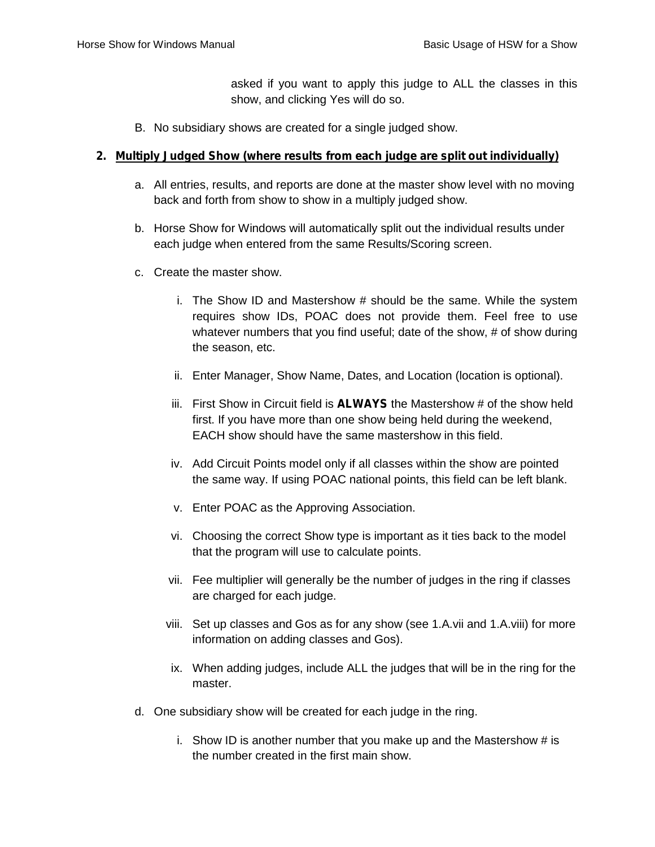asked if you want to apply this judge to ALL the classes in this show, and clicking Yes will do so.

B. No subsidiary shows are created for a single judged show.

#### *2. Multiply Judged Show (where results from each judge are split out individually)*

- a. All entries, results, and reports are done at the master show level with no moving back and forth from show to show in a multiply judged show.
- b. Horse Show for Windows will automatically split out the individual results under each judge when entered from the same Results/Scoring screen.
- c. Create the master show.
	- i. The Show ID and Mastershow # should be the same. While the system requires show IDs, POAC does not provide them. Feel free to use whatever numbers that you find useful; date of the show, # of show during the season, etc.
	- ii. Enter Manager, Show Name, Dates, and Location (location is optional).
	- iii. First Show in Circuit field is **ALWAYS** the Mastershow # of the show held first. If you have more than one show being held during the weekend, EACH show should have the same mastershow in this field.
	- iv. Add Circuit Points model only if all classes within the show are pointed the same way. If using POAC national points, this field can be left blank.
	- v. Enter POAC as the Approving Association.
	- vi. Choosing the correct Show type is important as it ties back to the model that the program will use to calculate points.
	- vii. Fee multiplier will generally be the number of judges in the ring if classes are charged for each judge.
	- viii. Set up classes and Gos as for any show (see 1.A.vii and 1.A.viii) for more information on adding classes and Gos).
	- ix. When adding judges, include ALL the judges that will be in the ring for the master.
- d. One subsidiary show will be created for each judge in the ring.
	- i. Show ID is another number that you make up and the Mastershow  $#$  is the number created in the first main show.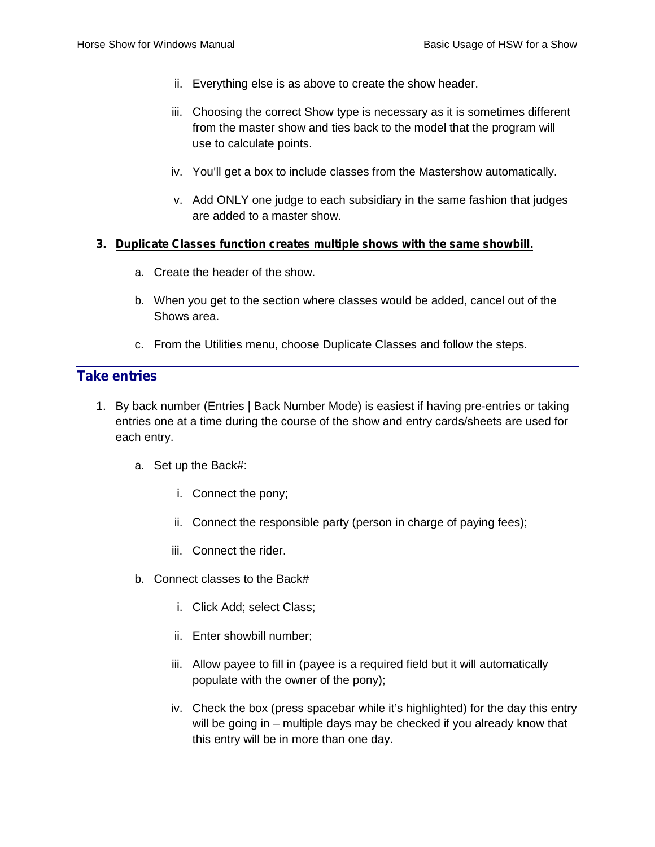- ii. Everything else is as above to create the show header.
- iii. Choosing the correct Show type is necessary as it is sometimes different from the master show and ties back to the model that the program will use to calculate points.
- iv. You'll get a box to include classes from the Mastershow automatically.
- v. Add ONLY one judge to each subsidiary in the same fashion that judges are added to a master show.

#### *3. Duplicate Classes function creates multiple shows with the same showbill.*

- a. Create the header of the show.
- b. When you get to the section where classes would be added, cancel out of the Shows area.
- c. From the Utilities menu, choose Duplicate Classes and follow the steps.

# **Take entries**

- 1. By back number (Entries | Back Number Mode) is easiest if having pre-entries or taking entries one at a time during the course of the show and entry cards/sheets are used for each entry.
	- a. Set up the Back#:
		- i. Connect the pony;
		- ii. Connect the responsible party (person in charge of paying fees);
		- iii. Connect the rider.
	- b. Connect classes to the Back#
		- i. Click Add; select Class;
		- ii. Enter showbill number;
		- iii. Allow payee to fill in (payee is a required field but it will automatically populate with the owner of the pony);
		- iv. Check the box (press spacebar while it's highlighted) for the day this entry will be going in – multiple days may be checked if you already know that this entry will be in more than one day.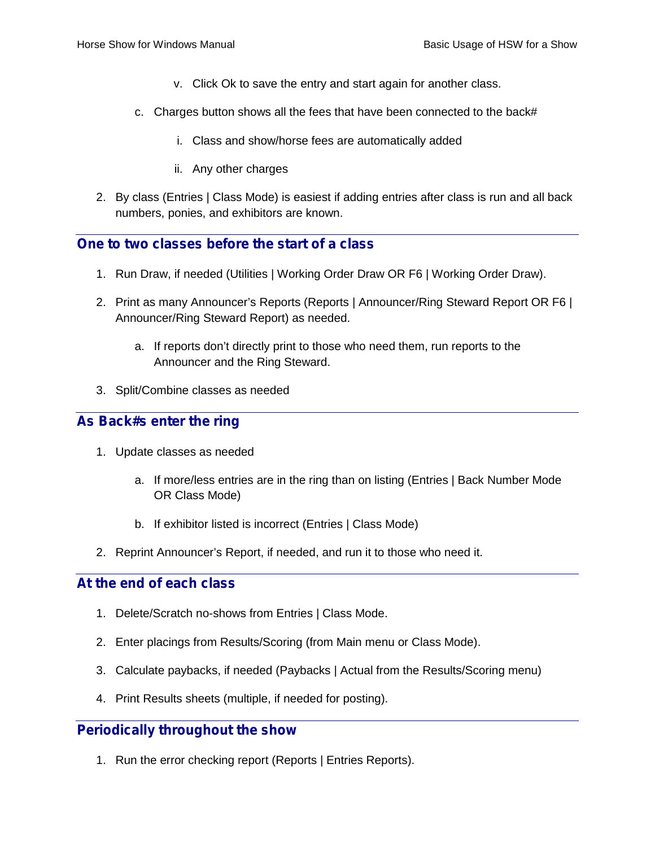- v. Click Ok to save the entry and start again for another class.
- c. Charges button shows all the fees that have been connected to the back#
	- i. Class and show/horse fees are automatically added
	- ii. Any other charges
- 2. By class (Entries | Class Mode) is easiest if adding entries after class is run and all back numbers, ponies, and exhibitors are known.

# **One to two classes before the start of a class**

- 1. Run Draw, if needed (Utilities | Working Order Draw OR F6 | Working Order Draw).
- 2. Print as many Announcer's Reports (Reports | Announcer/Ring Steward Report OR F6 | Announcer/Ring Steward Report) as needed.
	- a. If reports don't directly print to those who need them, run reports to the Announcer and the Ring Steward.
- 3. Split/Combine classes as needed

# **As Back#s enter the ring**

- 1. Update classes as needed
	- a. If more/less entries are in the ring than on listing (Entries | Back Number Mode OR Class Mode)
	- b. If exhibitor listed is incorrect (Entries | Class Mode)
- 2. Reprint Announcer's Report, if needed, and run it to those who need it.

## **At the end of each class**

- 1. Delete/Scratch no-shows from Entries | Class Mode.
- 2. Enter placings from Results/Scoring (from Main menu or Class Mode).
- 3. Calculate paybacks, if needed (Paybacks | Actual from the Results/Scoring menu)
- 4. Print Results sheets (multiple, if needed for posting).

# **Periodically throughout the show**

1. Run the error checking report (Reports | Entries Reports).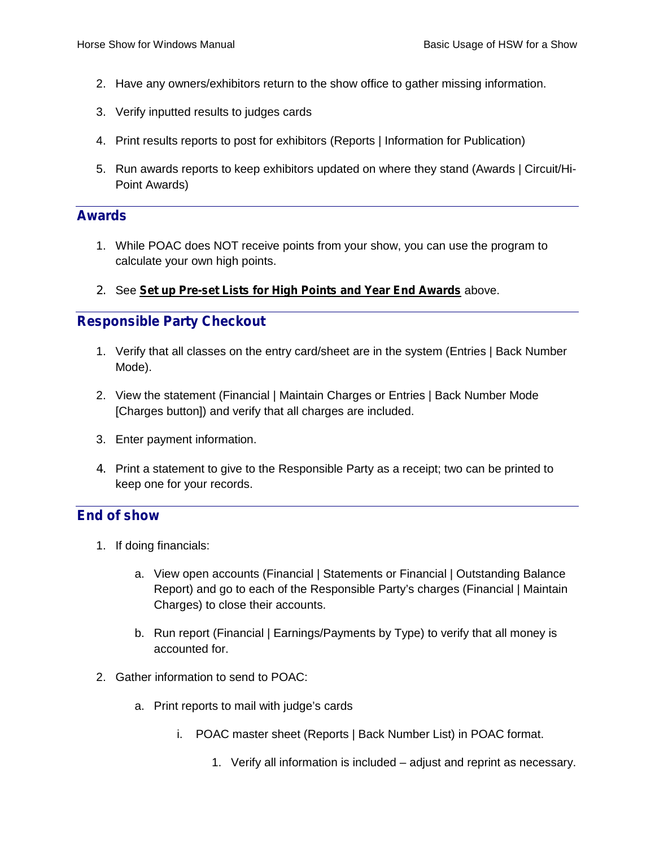- 2. Have any owners/exhibitors return to the show office to gather missing information.
- 3. Verify inputted results to judges cards
- 4. Print results reports to post for exhibitors (Reports | Information for Publication)
- 5. Run awards reports to keep exhibitors updated on where they stand (Awards | Circuit/Hi- Point Awards)

## **Awards**

- 1. While POAC does NOT receive points from your show, you can use the program to calculate your own high points.
- 2. See *Set up Pre-set Lists for High Points and Year End Awards* above.

## **Responsible Party Checkout**

- 1. Verify that all classes on the entry card/sheet are in the system (Entries | Back Number Mode).
- 2. View the statement (Financial | Maintain Charges or Entries | Back Number Mode [Charges button]) and verify that all charges are included.
- 3. Enter payment information.
- 4. Print a statement to give to the Responsible Party as a receipt; two can be printed to keep one for your records.

#### **End of show**

- 1. If doing financials:
	- a. View open accounts (Financial | Statements or Financial | Outstanding Balance Report) and go to each of the Responsible Party's charges (Financial | Maintain Charges) to close their accounts.
	- b. Run report (Financial | Earnings/Payments by Type) to verify that all money is accounted for.
- 2. Gather information to send to POAC:
	- a. Print reports to mail with judge's cards
		- i. POAC master sheet (Reports | Back Number List) in POAC format.
			- 1. Verify all information is included adjust and reprint as necessary.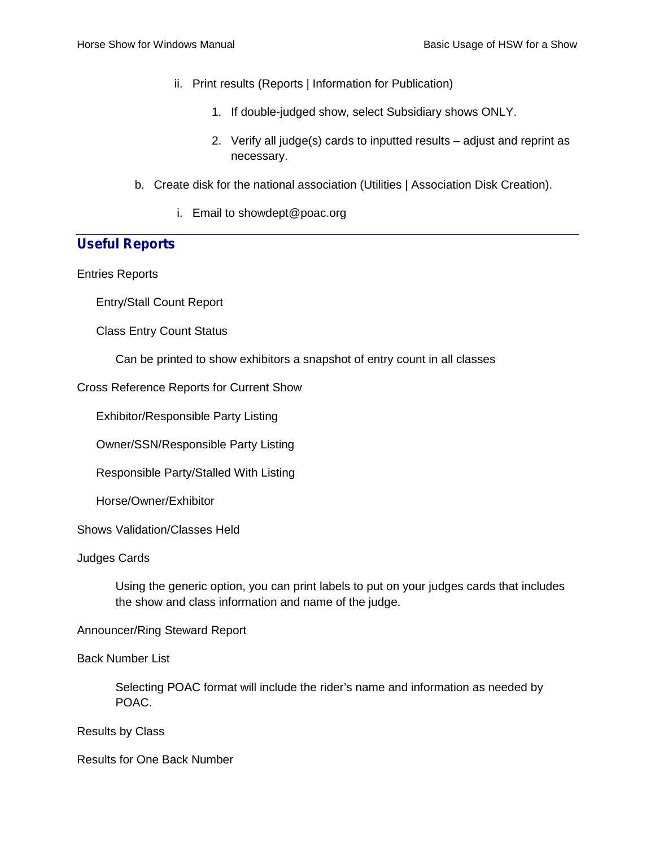- ii. Print results (Reports | Information for Publication)
	- 1. If double-judged show, select Subsidiary shows ONLY.
	- 2. Verify all judge(s) cards to inputted results adjust and reprint as necessary.
- b. Create disk for the national association (Utilities | Association Disk Creation).
	- i. Email to showdept@poac.org

# **Useful Reports**

Entries Reports

Entry/Stall Count Report

Class Entry Count Status

Can be printed to show exhibitors a snapshot of entry count in all classes

#### Cross Reference Reports for Current Show

Exhibitor/Responsible Party Listing

Owner/SSN/Responsible Party Listing

Responsible Party/Stalled With Listing

Horse/Owner/Exhibitor

Shows Validation/Classes Held

Judges Cards

Using the generic option, you can print labels to put on your judges cards that includes the show and class information and name of the judge.

#### Announcer/Ring Steward Report

Back Number List

Selecting POAC format will include the rider's name and information as needed by POAC.

Results by Class

Results for One Back Number